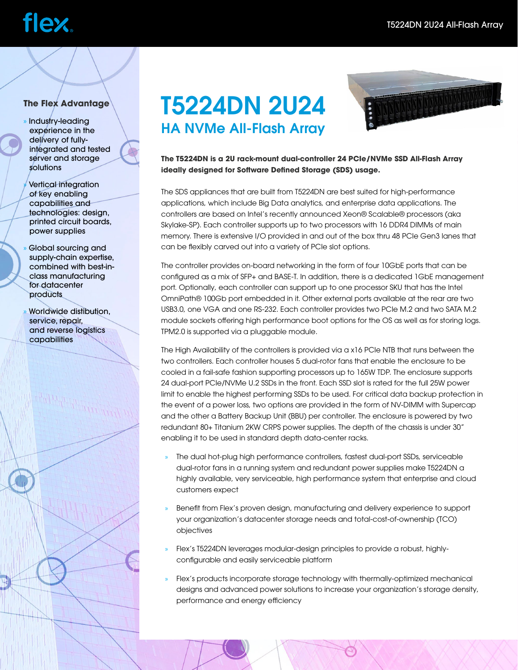# **flex**

### **The Flex Advantage**

- » Industry-leading experience in the delivery of fullyintegrated and tested server and storage solutions
- » Vertical integration of key enabling capabilities and technologies: design, printed circuit boards, power supplies
- » Global sourcing and supply-chain expertise, combined with best-inclass manufacturing for datacenter **products**
- » Worldwide distibution, service, repair, and reverse logistics capabilities

## T5224DN 2U24 HA NVMe All-Flash Array



**The T5224DN is a 2U rack-mount dual-controller 24 PCIe/NVMe SSD All-Flash Array ideally designed for Software Defined Storage (SDS) usage.** 

The SDS appliances that are built from T5224DN are best suited for high-performance applications, which include Big Data analytics, and enterprise data applications. The controllers are based on Intel's recently announced Xeon® Scalable® processors (aka Skylake-SP). Each controller supports up to two processors with 16 DDR4 DIMMs of main memory. There is extensive I/O provided in and out of the box thru 48 PCIe Gen3 lanes that can be flexibly carved out into a variety of PCIe slot options.

The controller provides on-board networking in the form of four 10GbE ports that can be configured as a mix of SFP+ and BASE-T. In addition, there is a dedicated 1GbE management port. Optionally, each controller can support up to one processor SKU that has the Intel OmniPath® 100Gb port embedded in it. Other external ports available at the rear are two USB3.0, one VGA and one RS-232. Each controller provides two PCIe M.2 and two SATA M.2 module sockets offering high performance boot options for the OS as well as for storing logs. TPM2.0 is supported via a pluggable module.

The High Availability of the controllers is provided via a x16 PCIe NTB that runs between the two controllers. Each controller houses 5 dual-rotor fans that enable the enclosure to be cooled in a fail-safe fashion supporting processors up to 165W TDP. The enclosure supports 24 dual-port PCIe/NVMe U.2 SSDs in the front. Each SSD slot is rated for the full 25W power limit to enable the highest performing SSDs to be used. For critical data backup protection in the event of a power loss, two options are provided in the form of NV-DIMM with Supercap and the other a Battery Backup Unit (BBU) per controller. The enclosure is powered by two redundant 80+ Titanium 2KW CRPS power supplies. The depth of the chassis is under 30" enabling it to be used in standard depth data-center racks.

- » The dual hot-plug high performance controllers, fastest dual-port SSDs, serviceable dual-rotor fans in a running system and redundant power supplies make T5224DN a highly available, very serviceable, high performance system that enterprise and cloud customers expect
- » Benefit from Flex's proven design, manufacturing and delivery experience to support your organization's datacenter storage needs and total-cost-of-ownership (TCO) objectives
- » Flex's T5224DN leverages modular-design principles to provide a robust, highlyconfigurable and easily serviceable platform
- » Flex's products incorporate storage technology with thermally-optimized mechanical designs and advanced power solutions to increase your organization's storage density, performance and energy efficiency